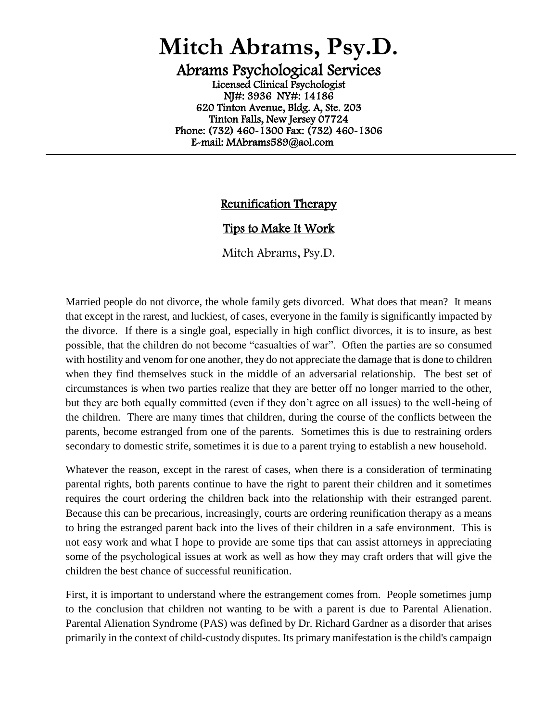## **Mitch Abrams, Psy.D.**

Abrams Psychological Services Licensed Clinical Psychologist NJ#: 3936 NY#: 14186 620 Tinton Avenue, Bldg. A, Ste. 203 Tinton Falls, New Jersey 07724 Phone: (732) 460-1300 Fax: (732) 460-1306 E-mail: MAbrams589@aol.com

## Reunification Therapy

 $\overline{a}$ 

## Tips to Make It Work

Mitch Abrams, Psy.D.

Married people do not divorce, the whole family gets divorced. What does that mean? It means that except in the rarest, and luckiest, of cases, everyone in the family is significantly impacted by the divorce. If there is a single goal, especially in high conflict divorces, it is to insure, as best possible, that the children do not become "casualties of war". Often the parties are so consumed with hostility and venom for one another, they do not appreciate the damage that is done to children when they find themselves stuck in the middle of an adversarial relationship. The best set of circumstances is when two parties realize that they are better off no longer married to the other, but they are both equally committed (even if they don't agree on all issues) to the well-being of the children. There are many times that children, during the course of the conflicts between the parents, become estranged from one of the parents. Sometimes this is due to restraining orders secondary to domestic strife, sometimes it is due to a parent trying to establish a new household.

Whatever the reason, except in the rarest of cases, when there is a consideration of terminating parental rights, both parents continue to have the right to parent their children and it sometimes requires the court ordering the children back into the relationship with their estranged parent. Because this can be precarious, increasingly, courts are ordering reunification therapy as a means to bring the estranged parent back into the lives of their children in a safe environment. This is not easy work and what I hope to provide are some tips that can assist attorneys in appreciating some of the psychological issues at work as well as how they may craft orders that will give the children the best chance of successful reunification.

First, it is important to understand where the estrangement comes from. People sometimes jump to the conclusion that children not wanting to be with a parent is due to Parental Alienation. Parental Alienation Syndrome (PAS) was defined by Dr. Richard Gardner as a disorder that arises primarily in the context of child-custody disputes. Its primary manifestation is the child's campaign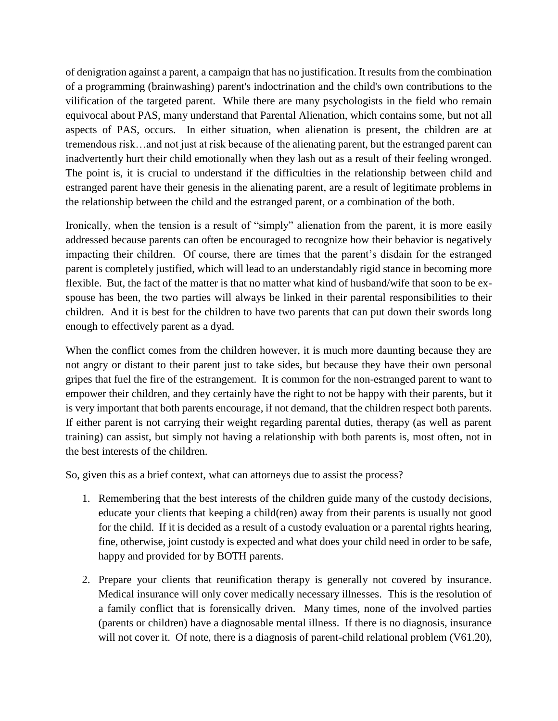of denigration against a parent, a campaign that has no justification. It results from the combination of a programming (brainwashing) parent's indoctrination and the child's own contributions to the vilification of the targeted parent. While there are many psychologists in the field who remain equivocal about PAS, many understand that Parental Alienation, which contains some, but not all aspects of PAS, occurs. In either situation, when alienation is present, the children are at tremendous risk…and not just at risk because of the alienating parent, but the estranged parent can inadvertently hurt their child emotionally when they lash out as a result of their feeling wronged. The point is, it is crucial to understand if the difficulties in the relationship between child and estranged parent have their genesis in the alienating parent, are a result of legitimate problems in the relationship between the child and the estranged parent, or a combination of the both.

Ironically, when the tension is a result of "simply" alienation from the parent, it is more easily addressed because parents can often be encouraged to recognize how their behavior is negatively impacting their children. Of course, there are times that the parent's disdain for the estranged parent is completely justified, which will lead to an understandably rigid stance in becoming more flexible. But, the fact of the matter is that no matter what kind of husband/wife that soon to be exspouse has been, the two parties will always be linked in their parental responsibilities to their children. And it is best for the children to have two parents that can put down their swords long enough to effectively parent as a dyad.

When the conflict comes from the children however, it is much more daunting because they are not angry or distant to their parent just to take sides, but because they have their own personal gripes that fuel the fire of the estrangement. It is common for the non-estranged parent to want to empower their children, and they certainly have the right to not be happy with their parents, but it is very important that both parents encourage, if not demand, that the children respect both parents. If either parent is not carrying their weight regarding parental duties, therapy (as well as parent training) can assist, but simply not having a relationship with both parents is, most often, not in the best interests of the children.

So, given this as a brief context, what can attorneys due to assist the process?

- 1. Remembering that the best interests of the children guide many of the custody decisions, educate your clients that keeping a child(ren) away from their parents is usually not good for the child. If it is decided as a result of a custody evaluation or a parental rights hearing, fine, otherwise, joint custody is expected and what does your child need in order to be safe, happy and provided for by BOTH parents.
- 2. Prepare your clients that reunification therapy is generally not covered by insurance. Medical insurance will only cover medically necessary illnesses. This is the resolution of a family conflict that is forensically driven. Many times, none of the involved parties (parents or children) have a diagnosable mental illness. If there is no diagnosis, insurance will not cover it. Of note, there is a diagnosis of parent-child relational problem (V61.20),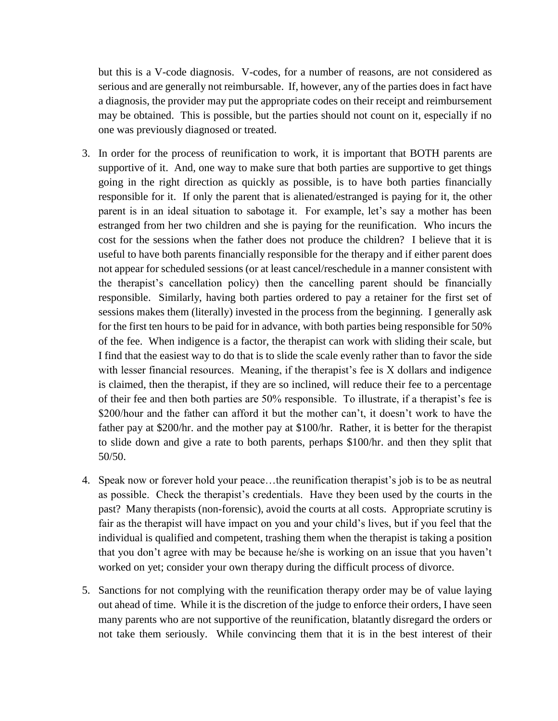but this is a V-code diagnosis. V-codes, for a number of reasons, are not considered as serious and are generally not reimbursable. If, however, any of the parties does in fact have a diagnosis, the provider may put the appropriate codes on their receipt and reimbursement may be obtained. This is possible, but the parties should not count on it, especially if no one was previously diagnosed or treated.

- 3. In order for the process of reunification to work, it is important that BOTH parents are supportive of it. And, one way to make sure that both parties are supportive to get things going in the right direction as quickly as possible, is to have both parties financially responsible for it. If only the parent that is alienated/estranged is paying for it, the other parent is in an ideal situation to sabotage it. For example, let's say a mother has been estranged from her two children and she is paying for the reunification. Who incurs the cost for the sessions when the father does not produce the children? I believe that it is useful to have both parents financially responsible for the therapy and if either parent does not appear for scheduled sessions (or at least cancel/reschedule in a manner consistent with the therapist's cancellation policy) then the cancelling parent should be financially responsible. Similarly, having both parties ordered to pay a retainer for the first set of sessions makes them (literally) invested in the process from the beginning. I generally ask for the first ten hours to be paid for in advance, with both parties being responsible for 50% of the fee. When indigence is a factor, the therapist can work with sliding their scale, but I find that the easiest way to do that is to slide the scale evenly rather than to favor the side with lesser financial resources. Meaning, if the therapist's fee is X dollars and indigence is claimed, then the therapist, if they are so inclined, will reduce their fee to a percentage of their fee and then both parties are 50% responsible. To illustrate, if a therapist's fee is \$200/hour and the father can afford it but the mother can't, it doesn't work to have the father pay at \$200/hr. and the mother pay at \$100/hr. Rather, it is better for the therapist to slide down and give a rate to both parents, perhaps \$100/hr. and then they split that 50/50.
- 4. Speak now or forever hold your peace…the reunification therapist's job is to be as neutral as possible. Check the therapist's credentials. Have they been used by the courts in the past? Many therapists (non-forensic), avoid the courts at all costs. Appropriate scrutiny is fair as the therapist will have impact on you and your child's lives, but if you feel that the individual is qualified and competent, trashing them when the therapist is taking a position that you don't agree with may be because he/she is working on an issue that you haven't worked on yet; consider your own therapy during the difficult process of divorce.
- 5. Sanctions for not complying with the reunification therapy order may be of value laying out ahead of time. While it is the discretion of the judge to enforce their orders, I have seen many parents who are not supportive of the reunification, blatantly disregard the orders or not take them seriously. While convincing them that it is in the best interest of their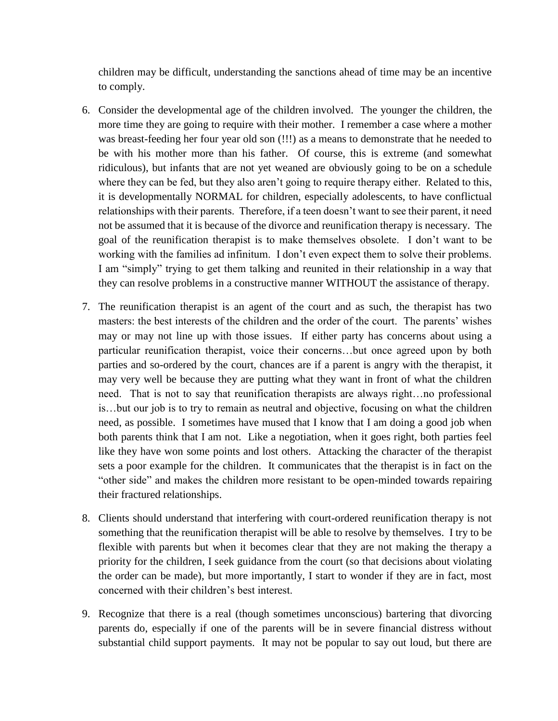children may be difficult, understanding the sanctions ahead of time may be an incentive to comply.

- 6. Consider the developmental age of the children involved. The younger the children, the more time they are going to require with their mother. I remember a case where a mother was breast-feeding her four year old son (!!!) as a means to demonstrate that he needed to be with his mother more than his father. Of course, this is extreme (and somewhat ridiculous), but infants that are not yet weaned are obviously going to be on a schedule where they can be fed, but they also aren't going to require therapy either. Related to this, it is developmentally NORMAL for children, especially adolescents, to have conflictual relationships with their parents. Therefore, if a teen doesn't want to see their parent, it need not be assumed that it is because of the divorce and reunification therapy is necessary. The goal of the reunification therapist is to make themselves obsolete. I don't want to be working with the families ad infinitum. I don't even expect them to solve their problems. I am "simply" trying to get them talking and reunited in their relationship in a way that they can resolve problems in a constructive manner WITHOUT the assistance of therapy.
- 7. The reunification therapist is an agent of the court and as such, the therapist has two masters: the best interests of the children and the order of the court. The parents' wishes may or may not line up with those issues. If either party has concerns about using a particular reunification therapist, voice their concerns…but once agreed upon by both parties and so-ordered by the court, chances are if a parent is angry with the therapist, it may very well be because they are putting what they want in front of what the children need. That is not to say that reunification therapists are always right…no professional is…but our job is to try to remain as neutral and objective, focusing on what the children need, as possible. I sometimes have mused that I know that I am doing a good job when both parents think that I am not. Like a negotiation, when it goes right, both parties feel like they have won some points and lost others. Attacking the character of the therapist sets a poor example for the children. It communicates that the therapist is in fact on the "other side" and makes the children more resistant to be open-minded towards repairing their fractured relationships.
- 8. Clients should understand that interfering with court-ordered reunification therapy is not something that the reunification therapist will be able to resolve by themselves. I try to be flexible with parents but when it becomes clear that they are not making the therapy a priority for the children, I seek guidance from the court (so that decisions about violating the order can be made), but more importantly, I start to wonder if they are in fact, most concerned with their children's best interest.
- 9. Recognize that there is a real (though sometimes unconscious) bartering that divorcing parents do, especially if one of the parents will be in severe financial distress without substantial child support payments. It may not be popular to say out loud, but there are